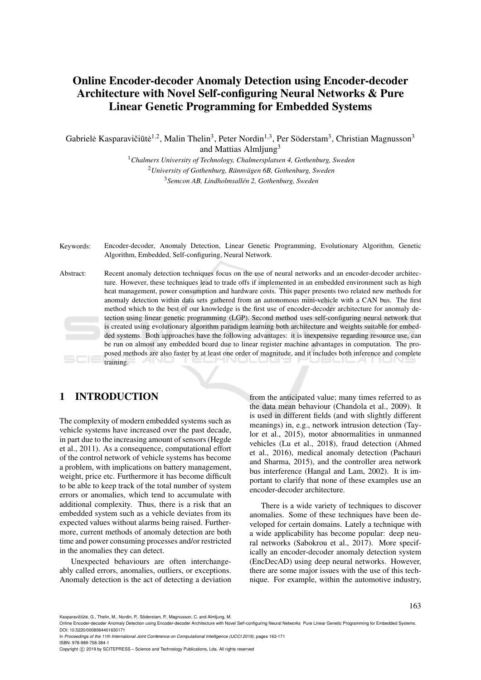# Online Encoder-decoder Anomaly Detection using Encoder-decoder Architecture with Novel Self-configuring Neural Networks & Pure Linear Genetic Programming for Embedded Systems

Gabrielė Kasparavičiūtė<sup>1,2</sup>, Malin Thelin<sup>3</sup>, Peter Nordin<sup>1,3</sup>, Per Söderstam<sup>3</sup>, Christian Magnusson<sup>3</sup> and Mattias Almljung<sup>3</sup>

> <sup>1</sup>*Chalmers University of Technology, Chalmersplatsen 4, Gothenburg, Sweden* <sup>2</sup> University of Gothenburg, Rännvägen 6B, Gothenburg, Sweden <sup>3</sup>*Semcon AB, Lindholmsallen 2, Gothenburg, Sweden ´*

Keywords: Encoder-decoder, Anomaly Detection, Linear Genetic Programming, Evolutionary Algorithm, Genetic Algorithm, Embedded, Self-configuring, Neural Network.

Abstract: Recent anomaly detection techniques focus on the use of neural networks and an encoder-decoder architecture. However, these techniques lead to trade offs if implemented in an embedded environment such as high heat management, power consumption and hardware costs. This paper presents two related new methods for anomaly detection within data sets gathered from an autonomous mini-vehicle with a CAN bus. The first method which to the best of our knowledge is the first use of encoder-decoder architecture for anomaly detection using linear genetic programming (LGP). Second method uses self-configuring neural network that is created using evolutionary algorithm paradigm learning both architecture and weights suitable for embedded systems. Both approaches have the following advantages: it is inexpensive regarding resource use, can be run on almost any embedded board due to linear register machine advantages in computation. The proposed methods are also faster by at least one order of magnitude, and it includes both inference and complete training.

## 1 INTRODUCTION

The complexity of modern embedded systems such as vehicle systems have increased over the past decade, in part due to the increasing amount of sensors (Hegde et al., 2011). As a consequence, computational effort of the control network of vehicle systems has become a problem, with implications on battery management, weight, price etc. Furthermore it has become difficult to be able to keep track of the total number of system errors or anomalies, which tend to accumulate with additional complexity. Thus, there is a risk that an embedded system such as a vehicle deviates from its expected values without alarms being raised. Furthermore, current methods of anomaly detection are both time and power consuming processes and/or restricted in the anomalies they can detect.

Unexpected behaviours are often interchangeably called errors, anomalies, outliers, or exceptions. Anomaly detection is the act of detecting a deviation

from the anticipated value; many times referred to as the data mean behaviour (Chandola et al., 2009). It is used in different fields (and with slightly different meanings) in, e.g., network intrusion detection (Taylor et al., 2015), motor abnormalities in unmanned vehicles (Lu et al., 2018), fraud detection (Ahmed et al., 2016), medical anomaly detection (Pachauri and Sharma, 2015), and the controller area network bus interference (Hangal and Lam, 2002). It is important to clarify that none of these examples use an encoder-decoder architecture.

There is a wide variety of techniques to discover anomalies. Some of these techniques have been developed for certain domains. Lately a technique with a wide applicability has become popular: deep neural networks (Sabokrou et al., 2017). More specifically an encoder-decoder anomaly detection system (EncDecAD) using deep neural networks. However, there are some major issues with the use of this technique. For example, within the automotive industry,

Kasparavičiūtė, G., Thelin, M., Nordin, P., Söderstam, P., Magnusson, C. and Almljung, M.

In *Proceedings of the 11th International Joint Conference on Computational Intelligence (IJCCI 2019)*, pages 163-171 ISBN: 978-989-758-384-1

Copyright © 2019 by SCITEPRESS - Science and Technology Publications, Lda. All rights reserved

Online Encoder-decoder Anomaly Detection using Encoder-decoder Architecture with Novel Self-configuring Neural Networks Pure Linear Genetic Programming for Embedded Systems. DOI: 10.5220/0008064401630171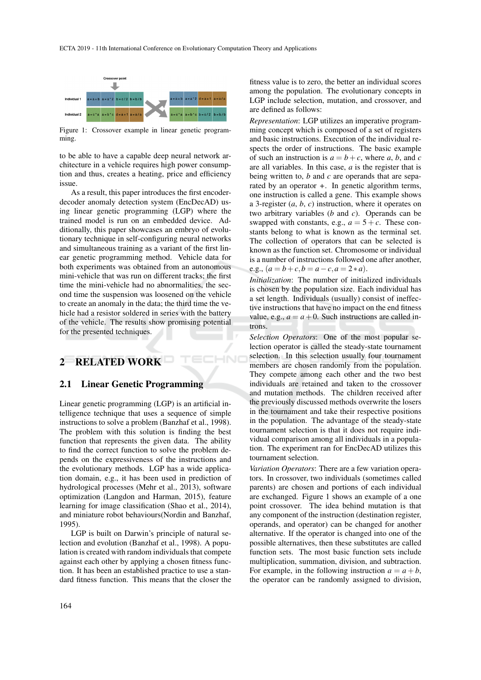$\neg N$ 



Figure 1: Crossover example in linear genetic programming.

to be able to have a capable deep neural network architecture in a vehicle requires high power consumption and thus, creates a heating, price and efficiency issue.

As a result, this paper introduces the first encoderdecoder anomaly detection system (EncDecAD) using linear genetic programming (LGP) where the trained model is run on an embedded device. Additionally, this paper showcases an embryo of evolutionary technique in self-configuring neural networks and simultaneous training as a variant of the first linear genetic programming method. Vehicle data for both experiments was obtained from an autonomous mini-vehicle that was run on different tracks; the first time the mini-vehicle had no abnormalities, the second time the suspension was loosened on the vehicle to create an anomaly in the data; the third time the vehicle had a resistor soldered in series with the battery of the vehicle. The results show promising potential for the presented techniques.

## 2 RELATED WORK

#### 2.1 Linear Genetic Programming

Linear genetic programming (LGP) is an artificial intelligence technique that uses a sequence of simple instructions to solve a problem (Banzhaf et al., 1998). The problem with this solution is finding the best function that represents the given data. The ability to find the correct function to solve the problem depends on the expressiveness of the instructions and the evolutionary methods. LGP has a wide application domain, e.g., it has been used in prediction of hydrological processes (Mehr et al., 2013), software optimization (Langdon and Harman, 2015), feature learning for image classification (Shao et al., 2014), and miniature robot behaviours(Nordin and Banzhaf, 1995).

LGP is built on Darwin's principle of natural selection and evolution (Banzhaf et al., 1998). A population is created with random individuals that compete against each other by applying a chosen fitness function. It has been an established practice to use a standard fitness function. This means that the closer the

fitness value is to zero, the better an individual scores among the population. The evolutionary concepts in LGP include selection, mutation, and crossover, and are defined as follows:

*Representation*: LGP utilizes an imperative programming concept which is composed of a set of registers and basic instructions. Execution of the individual respects the order of instructions. The basic example of such an instruction is  $a = b + c$ , where *a*, *b*, and *c* are all variables. In this case, *a* is the register that is being written to, *b* and *c* are operands that are separated by an operator *+*. In genetic algorithm terms, one instruction is called a gene. This example shows a 3-register (*a*, *b*, *c*) instruction, where it operates on two arbitrary variables (*b* and *c*). Operands can be swapped with constants, e.g.,  $a = 5 + c$ . These constants belong to what is known as the terminal set. The collection of operators that can be selected is known as the function set. Chromosome or individual is a number of instructions followed one after another, e.g.,  $(a = b + c, b = a - c, a = 2 * a)$ .

*Initialization*: The number of initialized individuals is chosen by the population size. Each individual has a set length. Individuals (usually) consist of ineffective instructions that have no impact on the end fitness value, e.g.,  $a = a + 0$ . Such instructions are called introns.

*Selection Operators*: One of the most popular selection operator is called the steady-state tournament selection. In this selection usually four tournament members are chosen randomly from the population. They compete among each other and the two best individuals are retained and taken to the crossover and mutation methods. The children received after the previously discussed methods overwrite the losers in the tournament and take their respective positions in the population. The advantage of the steady-state tournament selection is that it does not require individual comparison among all individuals in a population. The experiment ran for EncDecAD utilizes this tournament selection.

*Variation Operators*: There are a few variation operators. In crossover, two individuals (sometimes called parents) are chosen and portions of each individual are exchanged. Figure 1 shows an example of a one point crossover. The idea behind mutation is that any component of the instruction (destination register, operands, and operator) can be changed for another alternative. If the operator is changed into one of the possible alternatives, then these substitutes are called function sets. The most basic function sets include multiplication, summation, division, and subtraction. For example, in the following instruction  $a = a + b$ , the operator can be randomly assigned to division,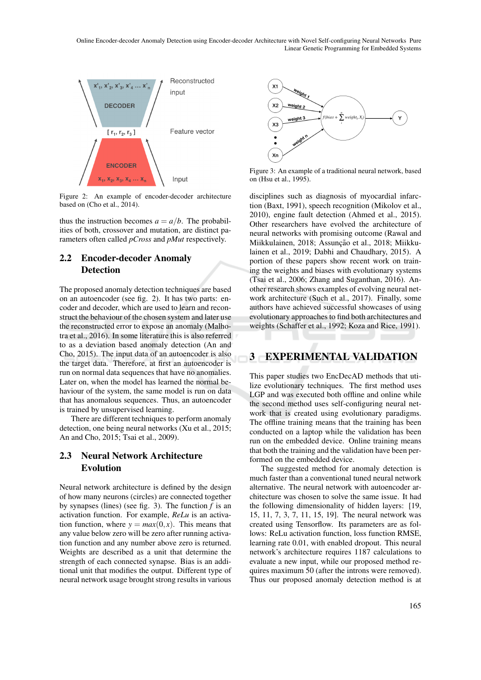Online Encoder-decoder Anomaly Detection using Encoder-decoder Architecture with Novel Self-configuring Neural Networks Pure Linear Genetic Programming for Embedded Systems



Figure 2: An example of encoder-decoder architecture based on (Cho et al.,  $2014$ ).

thus the instruction becomes  $a = a/b$ . The probabilities of both, crossover and mutation, are distinct parameters often called *pCross* and *pMut* respectively.

## 2.2 Encoder-decoder Anomaly **Detection**

The proposed anomaly detection techniques are based on an autoencoder (see fig. 2). It has two parts: encoder and decoder, which are used to learn and reconstruct the behaviour of the chosen system and later use the reconstructed error to expose an anomaly (Malhotra et al., 2016). In some literature this is also referred to as a deviation based anomaly detection (An and Cho, 2015). The input data of an autoencoder is also the target data. Therefore, at first an autoencoder is run on normal data sequences that have no anomalies. Later on, when the model has learned the normal behaviour of the system, the same model is run on data that has anomalous sequences. Thus, an autoencoder is trained by unsupervised learning.

There are different techniques to perform anomaly detection, one being neural networks (Xu et al., 2015; An and Cho, 2015; Tsai et al., 2009).

## 2.3 Neural Network Architecture Evolution

Neural network architecture is defined by the design of how many neurons (circles) are connected together by synapses (lines) (see fig. 3). The function *f* is an activation function. For example, *ReLu* is an activation function, where  $y = max(0, x)$ . This means that any value below zero will be zero after running activation function and any number above zero is returned. Weights are described as a unit that determine the strength of each connected synapse. Bias is an additional unit that modifies the output. Different type of neural network usage brought strong results in various



Figure 3: An example of a traditional neural network, based on (Hsu et al., 1995).

disciplines such as diagnosis of myocardial infarction (Baxt, 1991), speech recognition (Mikolov et al., 2010), engine fault detection (Ahmed et al., 2015). Other researchers have evolved the architecture of neural networks with promising outcome (Rawal and Miikkulainen, 2018; Assunção et al., 2018; Miikkulainen et al., 2019; Dabhi and Chaudhary, 2015). A portion of these papers show recent work on training the weights and biases with evolutionary systems (Tsai et al., 2006; Zhang and Suganthan, 2016). Another research shows examples of evolving neural network architecture (Such et al., 2017). Finally, some authors have achieved successful showcases of using evolutionary approaches to find both architectures and weights (Schaffer et al., 1992; Koza and Rice, 1991).

## 3 EXPERIMENTAL VALIDATION

This paper studies two EncDecAD methods that utilize evolutionary techniques. The first method uses LGP and was executed both offline and online while the second method uses self-configuring neural network that is created using evolutionary paradigms. The offline training means that the training has been conducted on a laptop while the validation has been run on the embedded device. Online training means that both the training and the validation have been performed on the embedded device.

The suggested method for anomaly detection is much faster than a conventional tuned neural network alternative. The neural network with autoencoder architecture was chosen to solve the same issue. It had the following dimensionality of hidden layers: [19, 15, 11, 7, 3, 7, 11, 15, 19]. The neural network was created using Tensorflow. Its parameters are as follows: ReLu activation function, loss function RMSE, learning rate 0.01, with enabled dropout. This neural network's architecture requires 1187 calculations to evaluate a new input, while our proposed method requires maximum 50 (after the introns were removed). Thus our proposed anomaly detection method is at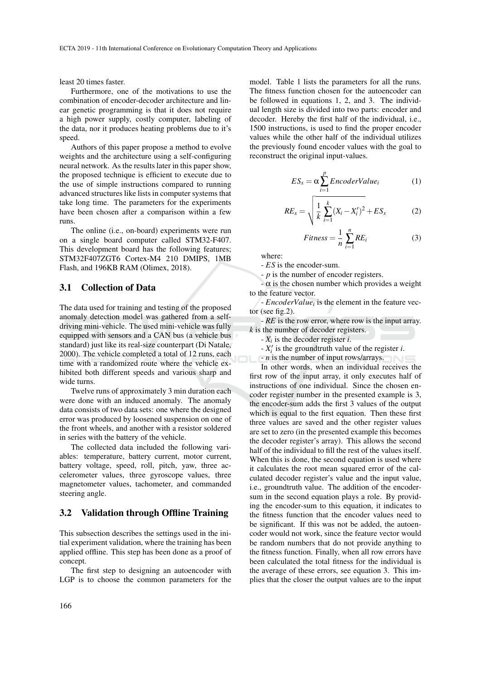least 20 times faster.

Furthermore, one of the motivations to use the combination of encoder-decoder architecture and linear genetic programming is that it does not require a high power supply, costly computer, labeling of the data, nor it produces heating problems due to it's speed.

Authors of this paper propose a method to evolve weights and the architecture using a self-configuring neural network. As the results later in this paper show, the proposed technique is efficient to execute due to the use of simple instructions compared to running advanced structures like lists in computer systems that take long time. The parameters for the experiments have been chosen after a comparison within a few runs.

The online (i.e., on-board) experiments were run on a single board computer called STM32-F407. This development board has the following features; STM32F407ZGT6 Cortex-M4 210 DMIPS, 1MB Flash, and 196KB RAM (Olimex, 2018).

#### 3.1 Collection of Data

The data used for training and testing of the proposed anomaly detection model was gathered from a selfdriving mini-vehicle. The used mini-vehicle was fully equipped with sensors and a CAN bus (a vehicle bus standard) just like its real-size counterpart (Di Natale, 2000). The vehicle completed a total of 12 runs, each time with a randomized route where the vehicle exhibited both different speeds and various sharp and wide turns.

Twelve runs of approximately 3 min duration each were done with an induced anomaly. The anomaly data consists of two data sets: one where the designed error was produced by loosened suspension on one of the front wheels, and another with a resistor soldered in series with the battery of the vehicle.

The collected data included the following variables: temperature, battery current, motor current, battery voltage, speed, roll, pitch, yaw, three accelerometer values, three gyroscope values, three magnetometer values, tachometer, and commanded steering angle.

#### 3.2 Validation through Offline Training

This subsection describes the settings used in the initial experiment validation, where the training has been applied offline. This step has been done as a proof of concept.

The first step to designing an autoencoder with LGP is to choose the common parameters for the

model. Table 1 lists the parameters for all the runs. The fitness function chosen for the autoencoder can be followed in equations 1, 2, and 3. The individual length size is divided into two parts: encoder and decoder. Hereby the first half of the individual, i.e., 1500 instructions, is used to find the proper encoder values while the other half of the individual utilizes the previously found encoder values with the goal to reconstruct the original input-values.

$$
ES_x = \alpha \sum_{i=1}^{p}EncoderValue_i \tag{1}
$$

$$
RE_x = \sqrt{\frac{1}{k} \sum_{i=1}^{k} (X_i - X'_i)^2} + ES_x \tag{2}
$$

$$
Fitness = \frac{1}{n} \sum_{i=1}^{n} RE_i
$$
 (3)

where:

- *ES* is the encoder-sum.

- *p* is the number of encoder registers.

 $-\alpha$  is the chosen number which provides a weight to the feature vector.

- *EncoderValue*<sup>*i*</sup> is the element in the feature vector (see fig.2).

- *RE* is the row error, where row is the input array. *k* is the number of decoder registers.

 $-X_i$  is the decoder register *i*.

 $-X'_i$  is the groundtruth value of the register *i*.

- *n* is the number of input rows/arrays.

In other words, when an individual receives the first row of the input array, it only executes half of instructions of one individual. Since the chosen encoder register number in the presented example is 3, the encoder-sum adds the first 3 values of the output which is equal to the first equation. Then these first three values are saved and the other register values are set to zero (in the presented example this becomes the decoder register's array). This allows the second half of the individual to fill the rest of the values itself. When this is done, the second equation is used where it calculates the root mean squared error of the calculated decoder register's value and the input value, i.e., groundtruth value. The addition of the encodersum in the second equation plays a role. By providing the encoder-sum to this equation, it indicates to the fitness function that the encoder values need to be significant. If this was not be added, the autoencoder would not work, since the feature vector would be random numbers that do not provide anything to the fitness function. Finally, when all row errors have been calculated the total fitness for the individual is the average of these errors, see equation 3. This implies that the closer the output values are to the input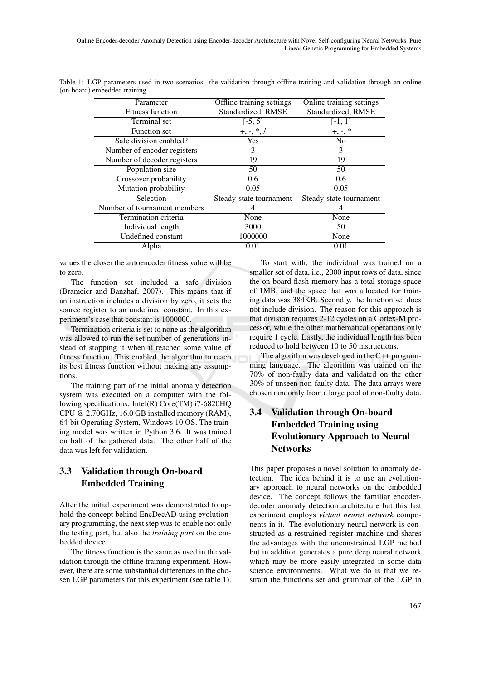| Parameter                    | Offline training settings<br>Online training settings |                         |  |
|------------------------------|-------------------------------------------------------|-------------------------|--|
| <b>Fitness function</b>      | Standardized, RMSE                                    | Standardized, RMSE      |  |
| Terminal set                 | $[-5, 5]$                                             | $[-1, 1]$               |  |
| <b>Function</b> set          | $+, -, *, /$                                          | $+, \, \cdot, \,$ *     |  |
| Safe division enabled?       | <b>Yes</b>                                            | N <sub>o</sub>          |  |
| Number of encoder registers  | 3                                                     | 3                       |  |
| Number of decoder registers  | 19                                                    | 19                      |  |
| Population size              | 50                                                    | 50                      |  |
| Crossover probability        | 0.6                                                   | $\overline{0.6}$        |  |
| Mutation probability         | 0.05                                                  | 0.05                    |  |
| Selection                    | Steady-state tournament                               | Steady-state tournament |  |
| Number of tournament members | 4                                                     |                         |  |
| Termination criteria         | None                                                  | None                    |  |
| Individual length            | 3000                                                  | 50                      |  |
| Undefined constant           | 1000000                                               | None                    |  |
| Alpha                        | 0.01                                                  | 0.01                    |  |

Table 1: LGP parameters used in two scenarios: the validation through offline training and validation through an online (on-board) embedded training.

values the closer the autoencoder fitness value will be to zero.

The function set included a safe division (Brameier and Banzhaf, 2007). This means that if an instruction includes a division by zero, it sets the source register to an undefined constant. In this experiment's case that constant is 1000000.

Termination criteria is set to none as the algorithm was allowed to run the set number of generations instead of stopping it when it reached some value of fitness function. This enabled the algorithm to reach its best fitness function without making any assumptions.

The training part of the initial anomaly detection system was executed on a computer with the following specifications: Intel(R) Core(TM) i7-6820HQ CPU @ 2.70GHz, 16.0 GB installed memory (RAM), 64-bit Operating System, Windows 10 OS. The training model was written in Python 3.6. It was trained on half of the gathered data. The other half of the data was left for validation.

## 3.3 Validation through On-board Embedded Training

After the initial experiment was demonstrated to uphold the concept behind EncDecAD using evolutionary programming, the next step was to enable not only the testing part, but also the *training part* on the embedded device.

The fitness function is the same as used in the validation through the offline training experiment. However, there are some substantial differences in the chosen LGP parameters for this experiment (see table 1).

To start with, the individual was trained on a smaller set of data, i.e., 2000 input rows of data, since the on-board flash memory has a total storage space of 1MB, and the space that was allocated for training data was 384KB. Secondly, the function set does not include division. The reason for this approach is that division requires 2-12 cycles on a Cortex-M processor, while the other mathematical operations only require 1 cycle. Lastly, the individual length has been reduced to hold between 10 to 50 instructions.

The algorithm was developed in the C++ programming language. The algorithm was trained on the 70% of non-faulty data and validated on the other 30% of unseen non-faulty data. The data arrays were chosen randomly from a large pool of non-faulty data.

## 3.4 Validation through On-board Embedded Training using Evolutionary Approach to Neural **Networks**

This paper proposes a novel solution to anomaly detection. The idea behind it is to use an evolutionary approach to neural networks on the embedded device. The concept follows the familiar encoderdecoder anomaly detection architecture but this last experiment employs *virtual neural network* components in it. The evolutionary neural network is constructed as a restrained register machine and shares the advantages with the unconstrained LGP method but in addition generates a pure deep neural network which may be more easily integrated in some data science environments. What we do is that we restrain the functions set and grammar of the LGP in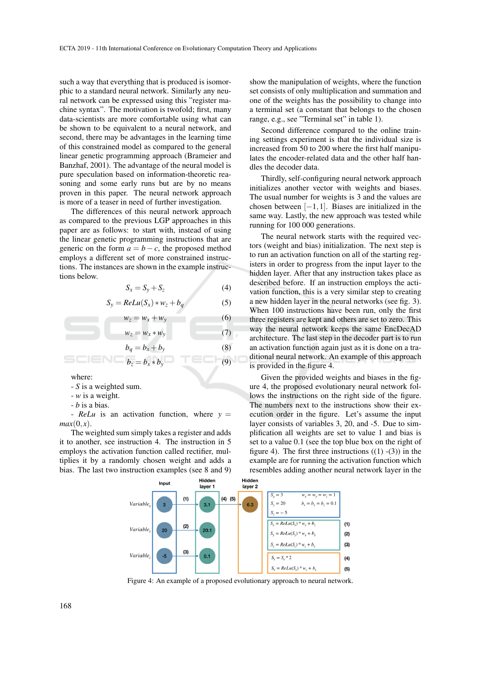such a way that everything that is produced is isomorphic to a standard neural network. Similarly any neural network can be expressed using this "register machine syntax". The motivation is twofold; first, many data-scientists are more comfortable using what can be shown to be equivalent to a neural network, and second, there may be advantages in the learning time of this constrained model as compared to the general linear genetic programming approach (Brameier and Banzhaf, 2001). The advantage of the neural model is pure speculation based on information-theoretic reasoning and some early runs but are by no means proven in this paper. The neural network approach is more of a teaser in need of further investigation.

The differences of this neural network approach as compared to the previous LGP approaches in this paper are as follows: to start with, instead of using the linear genetic programming instructions that are generic on the form  $a = b - c$ , the proposed method employs a different set of more constrained instructions. The instances are shown in the example instructions below.

$$
S_x = S_y + S_z \tag{4}
$$

$$
S_y = ReLu(S_x) * w_z + b_q \tag{5}
$$

 $w_z = w_x + w_y$  (6)

$$
w_z = w_x * w_y \tag{7}
$$
  

$$
b_q = b_x + b_y \tag{8}
$$

$$
b_z = b_x * b_y \qquad \qquad \boxed{0}
$$

where:

- *S* is a weighted sum.
- *w* is a weight.
- *b* is a bias.

-  $ReLu$  is an activation function, where  $y =$  $max(0, x)$ .

The weighted sum simply takes a register and adds it to another, see instruction 4. The instruction in 5 employs the activation function called rectifier, multiplies it by a randomly chosen weight and adds a bias. The last two instruction examples (see 8 and 9)

show the manipulation of weights, where the function set consists of only multiplication and summation and one of the weights has the possibility to change into a terminal set (a constant that belongs to the chosen range, e.g., see "Terminal set" in table 1).

Second difference compared to the online training settings experiment is that the individual size is increased from 50 to 200 where the first half manipulates the encoder-related data and the other half handles the decoder data.

Thirdly, self-configuring neural network approach initializes another vector with weights and biases. The usual number for weights is 3 and the values are chosen between  $[-1,1]$ . Biases are initialized in the same way. Lastly, the new approach was tested while running for 100 000 generations.

The neural network starts with the required vectors (weight and bias) initialization. The next step is to run an activation function on all of the starting registers in order to progress from the input layer to the hidden layer. After that any instruction takes place as described before. If an instruction employs the activation function, this is a very similar step to creating a new hidden layer in the neural networks (see fig. 3). When 100 instructions have been run, only the first three registers are kept and others are set to zero. This way the neural network keeps the same EncDecAD architecture. The last step in the decoder part is to run an activation function again just as it is done on a traditional neural network. An example of this approach is provided in the figure 4.

Given the provided weights and biases in the figure 4, the proposed evolutionary neural network follows the instructions on the right side of the figure. The numbers next to the instructions show their execution order in the figure. Let's assume the input layer consists of variables 3, 20, and -5. Due to simplification all weights are set to value 1 and bias is set to a value 0.1 (see the top blue box on the right of figure 4). The first three instructions  $((1) - (3))$  in the example are for running the activation function which resembles adding another neural network layer in the



Figure 4: An example of a proposed evolutionary approach to neural network.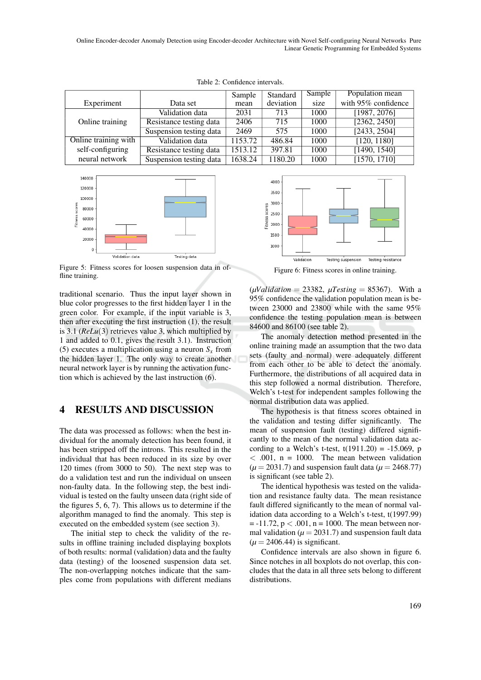Online Encoder-decoder Anomaly Detection using Encoder-decoder Architecture with Novel Self-configuring Neural Networks Pure Linear Genetic Programming for Embedded Systems

|                      |                         | Sample  | Standard  | Sample | Population mean     |
|----------------------|-------------------------|---------|-----------|--------|---------------------|
| Experiment           | Data set                | mean    | deviation | size   | with 95% confidence |
| Online training      | Validation data         | 2031    | 713       | 1000   | [1987, 2076]        |
|                      | Resistance testing data | 2406    | 715       | 1000   | [2362, 2450]        |
|                      | Suspension testing data | 2469    | 575       | 1000   | [2433, 2504]        |
| Online training with | Validation data         | 1153.72 | 486.84    | 1000   | [120, 1180]         |
| self-configuring     | Resistance testing data | 1513.12 | 397.81    | 1000   | [1490, 1540]        |
| neural network       | Suspension testing data | 1638.24 | 1180.20   | 1000   | [1570, 1710]        |

Table 2: Confidence intervals.



Figure 5: Fitness scores for loosen suspension data in offline training.

traditional scenario. Thus the input layer shown in blue color progresses to the first hidden layer 1 in the green color. For example, if the input variable is 3, then after executing the first instruction (1), the result is 3.1 (*ReLu*(3) retrieves value 3, which multiplied by 1 and added to 0.1, gives the result 3.1). Instruction (5) executes a multiplication using a neuron  $S<sub>x</sub>$  from the hidden layer 1. The only way to create another neural network layer is by running the activation function which is achieved by the last instruction (6).

### 4 RESULTS AND DISCUSSION

The data was processed as follows: when the best individual for the anomaly detection has been found, it has been stripped off the introns. This resulted in the individual that has been reduced in its size by over 120 times (from 3000 to 50). The next step was to do a validation test and run the individual on unseen non-faulty data. In the following step, the best individual is tested on the faulty unseen data (right side of the figures 5, 6, 7). This allows us to determine if the algorithm managed to find the anomaly. This step is executed on the embedded system (see section 3).

The initial step to check the validity of the results in offline training included displaying boxplots of both results: normal (validation) data and the faulty data (testing) of the loosened suspension data set. The non-overlapping notches indicate that the samples come from populations with different medians



Figure 6: Fitness scores in online training.

 $(\mu Validation = 23382, \mu Testing = 85367)$ . With a 95% confidence the validation population mean is between 23000 and 23800 while with the same 95% confidence the testing population mean is between 84600 and 86100 (see table 2).

The anomaly detection method presented in the online training made an assumption that the two data sets (faulty and normal) were adequately different from each other to be able to detect the anomaly. Furthermore, the distributions of all acquired data in this step followed a normal distribution. Therefore, Welch's t-test for independent samples following the normal distribution data was applied.

The hypothesis is that fitness scores obtained in the validation and testing differ significantly. The mean of suspension fault (testing) differed significantly to the mean of the normal validation data according to a Welch's t-test,  $t(1911.20) = -15.069$ , p  $<$  .001, n = 1000. The mean between validation  $(\mu = 2031.7)$  and suspension fault data ( $\mu = 2468.77$ ) is significant (see table 2).

The identical hypothesis was tested on the validation and resistance faulty data. The mean resistance fault differed significantly to the mean of normal validation data according to a Welch's t-test, t(1997.99)  $= -11.72$ ,  $p < .001$ ,  $n = 1000$ . The mean between normal validation ( $\mu$  = 2031.7) and suspension fault data  $(\mu = 2406.44)$  is significant.

Confidence intervals are also shown in figure 6. Since notches in all boxplots do not overlap, this concludes that the data in all three sets belong to different distributions.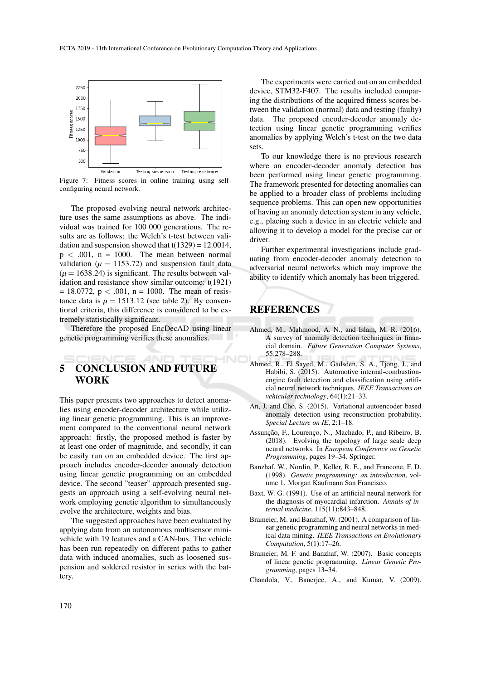

Figure 7: Fitness scores in online training using selfconfiguring neural network.

The proposed evolving neural network architecture uses the same assumptions as above. The individual was trained for 100 000 generations. The results are as follows: the Welch's t-test between validation and suspension showed that  $t(1329) = 12.0014$ ,  $p < .001$ ,  $n = 1000$ . The mean between normal validation ( $\mu$  = 1153.72) and suspension fault data  $(\mu = 1638.24)$  is significant. The results between validation and resistance show similar outcome: t(1921)  $= 18.0772$ , p < .001, n = 1000. The mean of resistance data is  $\mu = 1513.12$  (see table 2). By conventional criteria, this difference is considered to be extremely statistically significant.

Therefore the proposed EncDecAD using linear genetic programming verifies these anomalies.

### HNC 5 CONCLUSION AND FUTURE WORK

This paper presents two approaches to detect anomalies using encoder-decoder architecture while utilizing linear genetic programming. This is an improvement compared to the conventional neural network approach: firstly, the proposed method is faster by at least one order of magnitude, and secondly, it can be easily run on an embedded device. The first approach includes encoder-decoder anomaly detection using linear genetic programming on an embedded device. The second "teaser" approach presented suggests an approach using a self-evolving neural network employing genetic algorithm to simultaneously evolve the architecture, weights and bias.

The suggested approaches have been evaluated by applying data from an autonomous multisensor minivehicle with 19 features and a CAN-bus. The vehicle has been run repeatedly on different paths to gather data with induced anomalies, such as loosened suspension and soldered resistor in series with the battery.

The experiments were carried out on an embedded device, STM32-F407. The results included comparing the distributions of the acquired fitness scores between the validation (normal) data and testing (faulty) data. The proposed encoder-decoder anomaly detection using linear genetic programming verifies anomalies by applying Welch's t-test on the two data sets.

To our knowledge there is no previous research where an encoder-decoder anomaly detection has been performed using linear genetic programming. The framework presented for detecting anomalies can be applied to a broader class of problems including sequence problems. This can open new opportunities of having an anomaly detection system in any vehicle, e.g., placing such a device in an electric vehicle and allowing it to develop a model for the precise car or driver.

Further experimental investigations include graduating from encoder-decoder anomaly detection to adversarial neural networks which may improve the ability to identify which anomaly has been triggered.

# REFERENCES

- Ahmed, M., Mahmood, A. N., and Islam, M. R. (2016). A survey of anomaly detection techniques in financial domain. *Future Generation Computer Systems*, 55:278–288.
- Ahmed, R., El Sayed, M., Gadsden, S. A., Tjong, J., and Habibi, S. (2015). Automotive internal-combustionengine fault detection and classification using artificial neural network techniques. *IEEE Transactions on vehicular technology*, 64(1):21–33.
- An, J. and Cho, S. (2015). Variational autoencoder based anomaly detection using reconstruction probability. *Special Lecture on IE*, 2:1–18.
- Assunção, F., Lourenço, N., Machado, P., and Ribeiro, B. (2018). Evolving the topology of large scale deep neural networks. In *European Conference on Genetic Programming*, pages 19–34. Springer.
- Banzhaf, W., Nordin, P., Keller, R. E., and Francone, F. D. (1998). *Genetic programming: an introduction*, volume 1. Morgan Kaufmann San Francisco.
- Baxt, W. G. (1991). Use of an artificial neural network for the diagnosis of myocardial infarction. *Annals of internal medicine*, 115(11):843–848.
- Brameier, M. and Banzhaf, W. (2001). A comparison of linear genetic programming and neural networks in medical data mining. *IEEE Transactions on Evolutionary Computation*, 5(1):17–26.
- Brameier, M. F. and Banzhaf, W. (2007). Basic concepts of linear genetic programming. *Linear Genetic Programming*, pages 13–34.
- Chandola, V., Banerjee, A., and Kumar, V. (2009).